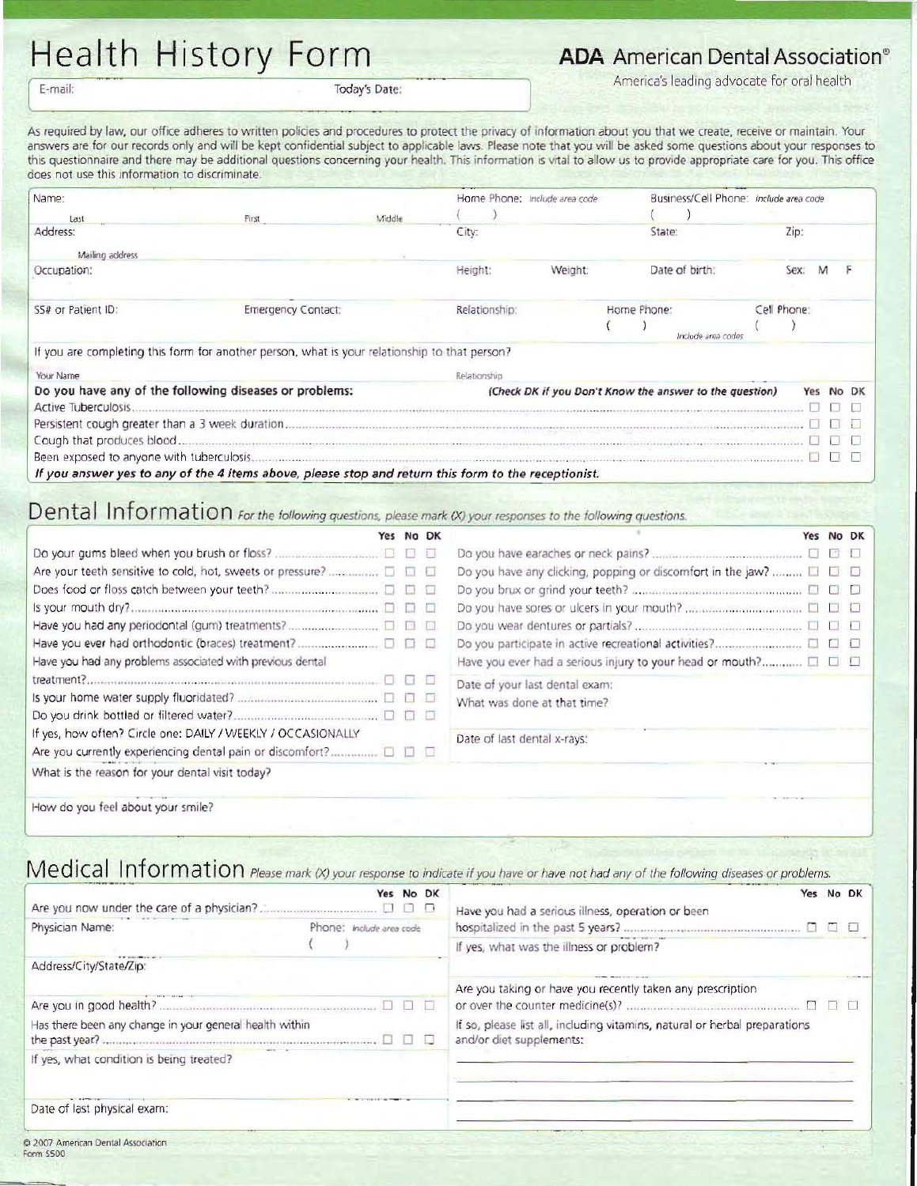## **Health History Form**

E-mail:

**ADA** American Dental Association®

America's leading advocate for oral health

Today's Date:

As required by law, our office adheres to written policies and procedures to protect the privacy of information about you that we create, receive or maintain. Your answers are for our records only and will be kept confidential subject to applicable laws. Please note that you will be asked some questions about your responses to this questionnaire and there may be additional questions concerning your health. This information is vital to allow us to provide appropriate care for you. This office does not use this information to discriminate.

| Name:<br>Last                                                                                 | First              | Middle | Home Phone: Include area code |         | Business/Cell Phone: include area code                  |             |     |       |
|-----------------------------------------------------------------------------------------------|--------------------|--------|-------------------------------|---------|---------------------------------------------------------|-------------|-----|-------|
| Address:                                                                                      |                    |        | City:                         |         | State:                                                  | Zip:        |     |       |
| Mailing address                                                                               |                    |        |                               |         |                                                         |             |     |       |
| Occupation:                                                                                   |                    |        | Height:                       | Weight: | Date of birth:                                          | Sex:        |     |       |
| SS# or Patient ID:                                                                            | Emergency Contact: |        | Relationship:                 |         | Home Phone:                                             | Cell Phone: |     |       |
|                                                                                               |                    |        |                               |         | Include area codes                                      |             |     |       |
| If you are completing this form for another person, what is your relationship to that person? |                    |        |                               |         |                                                         |             |     |       |
| Your Name                                                                                     |                    |        | Relationship                  |         |                                                         |             |     |       |
| Do you have any of the following diseases or problems:                                        |                    |        |                               |         | (Check DK if you Don't Know the answer to the question) |             | Yes | No DK |
|                                                                                               |                    |        |                               |         |                                                         |             |     |       |
|                                                                                               |                    |        |                               |         |                                                         |             |     |       |
|                                                                                               |                    |        |                               |         |                                                         |             |     |       |
|                                                                                               |                    |        |                               |         |                                                         |             |     |       |

If you answer yes to any of the 4 items above, please stop and return this form to the receptionist.

Dental Information For the following questions, please mark (X) your responses to the following questions.

|                                                                                          | Yes No DK |                                                                                 | Yes No DK |  |
|------------------------------------------------------------------------------------------|-----------|---------------------------------------------------------------------------------|-----------|--|
|                                                                                          |           |                                                                                 |           |  |
| Are your teeth sensitive to cold, hot, sweets or pressure? $\square \ \square \ \square$ |           | Do you have any clicking, popping or discomfort in the jaw? $\square$ $\square$ |           |  |
|                                                                                          |           |                                                                                 |           |  |
|                                                                                          |           |                                                                                 |           |  |
|                                                                                          |           |                                                                                 |           |  |
|                                                                                          |           |                                                                                 |           |  |
| Have you had any problems associated with previous dental                                |           | Have you ever had a serious injury to your head or mouth? $\square \ \square$   |           |  |
|                                                                                          |           | Date of your last dental exam:                                                  |           |  |
|                                                                                          |           | What was done at that time?                                                     |           |  |
|                                                                                          |           |                                                                                 |           |  |
| If yes, how often? Circle one: DAILY / WEEKLY / OCCASIONALLY                             |           | Date of last dental x-rays:                                                     |           |  |
|                                                                                          |           |                                                                                 |           |  |
| What is the reason for your dental visit today?                                          |           |                                                                                 |           |  |

How do you feel about your smile?

Medical Information Please mark (X) your response to indicate if you have or have not had any of the following diseases or problems.

|                                                         | Yes No DK                | Yes No DK<br>Have you had a serious illness, operation or been                                         |  |  |
|---------------------------------------------------------|--------------------------|--------------------------------------------------------------------------------------------------------|--|--|
| Physician Name:                                         | Phone: Include area code |                                                                                                        |  |  |
|                                                         |                          | If yes, what was the illness or problem?                                                               |  |  |
| Address/City/State/Zip:                                 |                          |                                                                                                        |  |  |
|                                                         |                          | Are you taking or have you recently taken any prescription                                             |  |  |
|                                                         |                          |                                                                                                        |  |  |
| Has there been any change in your general health within |                          | If so, please list all, including vitamins, natural or herbal preparations<br>and/or diet supplements: |  |  |
| If yes, what condition is being treated?                |                          |                                                                                                        |  |  |
| Date of last physical exam:                             |                          |                                                                                                        |  |  |